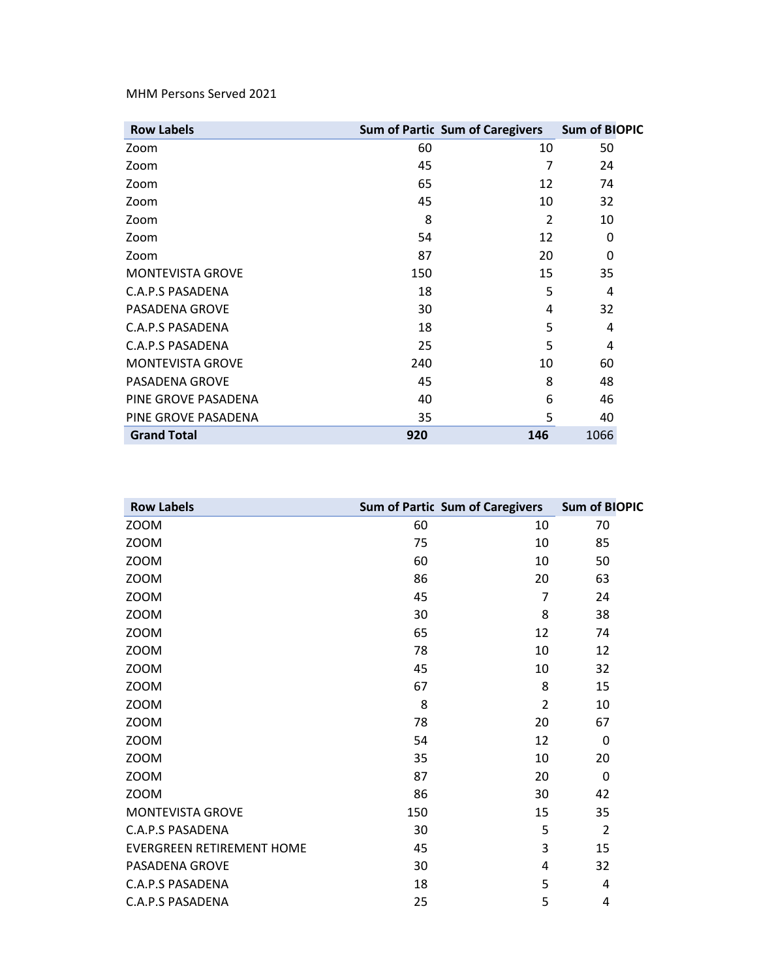MHM Persons Served 2021

| <b>Row Labels</b>       | Sum of Partic Sum of Caregivers Sum of BIOPIC |               |      |
|-------------------------|-----------------------------------------------|---------------|------|
| Zoom                    | 60                                            | 10            | 50   |
| Zoom                    | 45                                            | 7             | 24   |
| Zoom                    | 65                                            | 12            | 74   |
| Zoom                    | 45                                            | 10            | 32   |
| Zoom                    | 8                                             | $\mathcal{P}$ | 10   |
| Zoom                    | 54                                            | 12            | 0    |
| Zoom                    | 87                                            | 20            | 0    |
| <b>MONTEVISTA GROVE</b> | 150                                           | 15            | 35   |
| C.A.P.S PASADENA        | 18                                            | 5             | 4    |
| PASADENA GROVE          | 30                                            | 4             | 32   |
| C.A.P.S PASADENA        | 18                                            | 5             | 4    |
| C.A.P.S PASADENA        | 25                                            | 5             | 4    |
| <b>MONTEVISTA GROVE</b> | 240                                           | 10            | 60   |
| PASADENA GROVE          | 45                                            | 8             | 48   |
| PINE GROVE PASADENA     | 40                                            | 6             | 46   |
| PINE GROVE PASADENA     | 35                                            | 5             | 40   |
| <b>Grand Total</b>      | 920                                           | 146           | 1066 |

| <b>Row Labels</b>                | <b>Sum of Partic Sum of Caregivers</b> |                | <b>Sum of BIOPIC</b> |
|----------------------------------|----------------------------------------|----------------|----------------------|
| ZOOM                             | 60                                     | 10             | 70                   |
| <b>ZOOM</b>                      | 75                                     | 10             | 85                   |
| <b>ZOOM</b>                      | 60                                     | 10             | 50                   |
| ZOOM                             | 86                                     | 20             | 63                   |
| <b>ZOOM</b>                      | 45                                     | $\overline{7}$ | 24                   |
| <b>ZOOM</b>                      | 30                                     | 8              | 38                   |
| ZOOM                             | 65                                     | 12             | 74                   |
| <b>ZOOM</b>                      | 78                                     | 10             | 12                   |
| ZOOM                             | 45                                     | 10             | 32                   |
| <b>ZOOM</b>                      | 67                                     | 8              | 15                   |
| <b>ZOOM</b>                      | 8                                      | $\overline{2}$ | 10                   |
| ZOOM                             | 78                                     | 20             | 67                   |
| <b>ZOOM</b>                      | 54                                     | 12             | $\Omega$             |
| <b>ZOOM</b>                      | 35                                     | 10             | 20                   |
| ZOOM                             | 87                                     | 20             | 0                    |
| <b>ZOOM</b>                      | 86                                     | 30             | 42                   |
| MONTEVISTA GROVE                 | 150                                    | 15             | 35                   |
| C.A.P.S PASADENA                 | 30                                     | 5              | $\overline{2}$       |
| <b>EVERGREEN RETIREMENT HOME</b> | 45                                     | 3              | 15                   |
| PASADENA GROVE                   | 30                                     | 4              | 32                   |
| <b>C.A.P.S PASADENA</b>          | 18                                     | 5              | 4                    |
| <b>C.A.P.S PASADENA</b>          | 25                                     | 5              | 4                    |